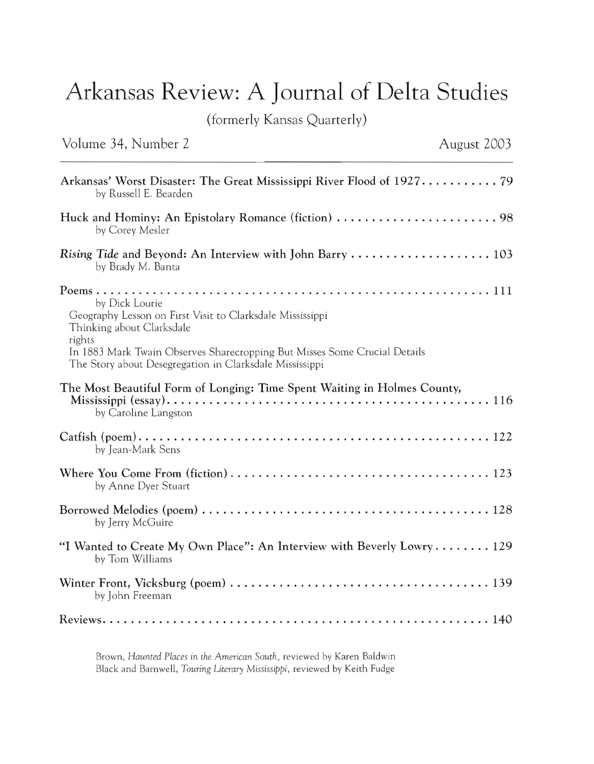## **Arkansas Review: A Journal of Delta Studies**

(formerly Kansas Quarterly)

Volume 34, Number 2 August 2003

| by Russell E. Bearden                                                                                                                                                                                                                                      |
|------------------------------------------------------------------------------------------------------------------------------------------------------------------------------------------------------------------------------------------------------------|
| by Corey Mesler                                                                                                                                                                                                                                            |
| by Brady M. Banta                                                                                                                                                                                                                                          |
| by Dick Lourie<br>Geography Lesson on First Visit to Clarksdale Mississippi<br>Thinking about Clarksdale<br>rights<br>In 1883 Mark Twain Observes Sharecropping But Misses Some Crucial Details<br>The Story about Desegregation in Clarksdale Mississippi |
| The Most Beautiful Form of Longing: Time Spent Waiting in Holmes County,<br>by Caroline Langston                                                                                                                                                           |
| by Jean-Mark Sens                                                                                                                                                                                                                                          |
| by Anne Dyer Stuart                                                                                                                                                                                                                                        |
| by Jerry McGuire                                                                                                                                                                                                                                           |
| "I Wanted to Create My Own Place": An Interview with Beverly Lowry 129<br>by Tom Williams                                                                                                                                                                  |
| by John Freeman                                                                                                                                                                                                                                            |
|                                                                                                                                                                                                                                                            |

Brown, *Haunted Places in the American South,* reviewed by Karen Baldwin Black and Barnwell, *Touring Literary Mississippi*, reviewed by Keith Fudge